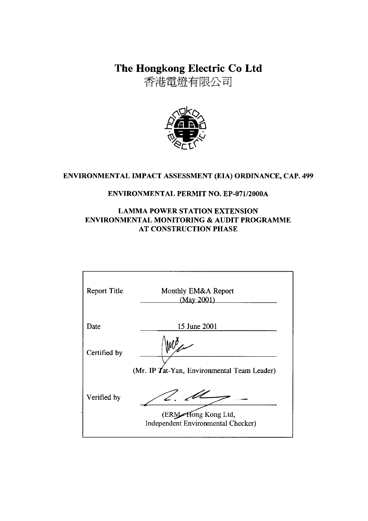The Hongkong Electric Co Ltd

香港電燈有限公司



# ENVIRONMENTAL IMPACT ASSESSMENT (EIA) ORDINANCE, CAP. 499

### **ENVIRONMENTAL PERMIT NO. EP-071/2000A**

### **LAMMA POWER STATION EXTENSION** ENVIRONMENTAL MONITORING & AUDIT PROGRAMME **AT CONSTRUCTION PHASE**

| <b>Report Title</b> | Monthly EM&A Report<br>(May 2001)                         |
|---------------------|-----------------------------------------------------------|
| Date                | 15 June 2001                                              |
| Certified by        | (Mr. IP Tat-Yan, Environmental Team Leader)               |
| Verified by         | (ERM Hong Kong Ltd,<br>Independent Environmental Checker) |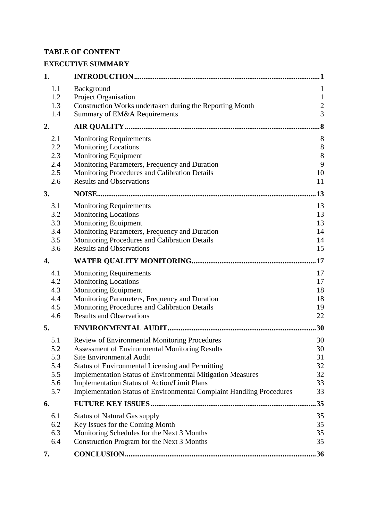## **TABLE OF CONTENT**

# **EXECUTIVE SUMMARY**

| 1.         |                                                                                                                                   | 1                  |
|------------|-----------------------------------------------------------------------------------------------------------------------------------|--------------------|
| 1.1        | Background                                                                                                                        | $\mathbf{1}$       |
| 1.2        | Project Organisation                                                                                                              | $\mathbf{1}$       |
| 1.3        | Construction Works undertaken during the Reporting Month                                                                          | $\overline{c}$     |
| 1.4        | Summary of EM&A Requirements                                                                                                      | $\overline{3}$     |
| 2.         |                                                                                                                                   | $\overline{\bf 8}$ |
| 2.1        | <b>Monitoring Requirements</b>                                                                                                    | 8                  |
| 2.2        | <b>Monitoring Locations</b>                                                                                                       | $8\,$              |
| 2.3        | Monitoring Equipment                                                                                                              | 8                  |
| 2.4        | Monitoring Parameters, Frequency and Duration                                                                                     | 9                  |
| 2.5        | Monitoring Procedures and Calibration Details                                                                                     | 10                 |
| 2.6        | <b>Results and Observations</b>                                                                                                   | 11                 |
| 3.         |                                                                                                                                   | 13                 |
| 3.1        | <b>Monitoring Requirements</b>                                                                                                    | 13                 |
| 3.2        | <b>Monitoring Locations</b>                                                                                                       | 13                 |
| 3.3        | Monitoring Equipment                                                                                                              | 13                 |
| 3.4        | Monitoring Parameters, Frequency and Duration                                                                                     | 14                 |
| 3.5        | Monitoring Procedures and Calibration Details                                                                                     | 14                 |
| 3.6        | <b>Results and Observations</b>                                                                                                   | 15                 |
| 4.         |                                                                                                                                   | .17                |
| 4.1        | <b>Monitoring Requirements</b>                                                                                                    | 17                 |
| 4.2        | <b>Monitoring Locations</b>                                                                                                       | 17                 |
| 4.3        | <b>Monitoring Equipment</b>                                                                                                       | 18                 |
| 4.4        | Monitoring Parameters, Frequency and Duration                                                                                     | 18                 |
| 4.5        | Monitoring Procedures and Calibration Details                                                                                     | 19                 |
| 4.6        | <b>Results and Observations</b>                                                                                                   | 22                 |
| 5.         |                                                                                                                                   | 30                 |
| 5.1        | Review of Environmental Monitoring Procedures                                                                                     | 30                 |
| 5.2        | <b>Assessment of Environmental Monitoring Results</b>                                                                             | 30                 |
| 5.3        | <b>Site Environmental Audit</b>                                                                                                   | 31                 |
| 5.4        | <b>Status of Environmental Licensing and Permitting</b>                                                                           | 32                 |
| 5.5        | <b>Implementation Status of Environmental Mitigation Measures</b>                                                                 | 32                 |
| 5.6<br>5.7 | <b>Implementation Status of Action/Limit Plans</b><br><b>Implementation Status of Environmental Complaint Handling Procedures</b> | 33<br>33           |
|            |                                                                                                                                   |                    |
| 6.         |                                                                                                                                   | 35                 |
| 6.1        | <b>Status of Natural Gas supply</b>                                                                                               | 35                 |
| 6.2        | Key Issues for the Coming Month                                                                                                   | 35                 |
| 6.3        | Monitoring Schedules for the Next 3 Months                                                                                        | 35                 |
| 6.4        | Construction Program for the Next 3 Months                                                                                        | 35                 |
| 7.         |                                                                                                                                   | .36                |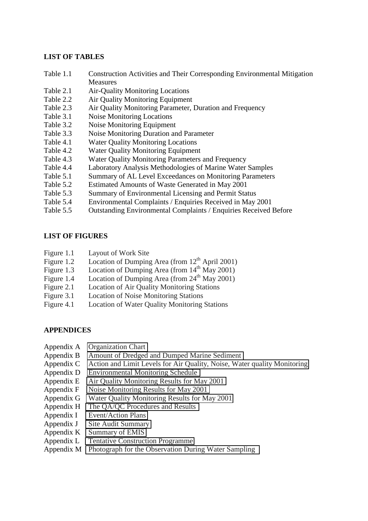#### **LIST OF TABLES**

- Table 1.1 Construction Activities and Their Corresponding Environmental Mitigation Measures
- Table 2.1 Air-Quality Monitoring Locations
- Table 2.2 Air Quality Monitoring Equipment
- Table 2.3 Air Quality Monitoring Parameter, Duration and Frequency
- Table 3.1 Noise Monitoring Locations
- Table 3.2 Noise Monitoring Equipment
- Table 3.3 Noise Monitoring Duration and Parameter
- Table 4.1 Water Quality Monitoring Locations
- Table 4.2 Water Quality Monitoring Equipment
- Table 4.3 Water Quality Monitoring Parameters and Frequency
- Table 4.4 Laboratory Analysis Methodologies of Marine Water Samples
- Table 5.1 Summary of AL Level Exceedances on Monitoring Parameters
- Table 5.2 Estimated Amounts of Waste Generated in May 2001
- Table 5.3 Summary of Environmental Licensing and Permit Status
- Table 5.4 Environmental Complaints / Enquiries Received in May 2001
- Table 5.5 Outstanding Environmental Complaints / Enquiries Received Before

### **LIST OF FIGURES**

- Figure 1.1 Layout of Work Site
- Figure 1.2 Location of Dumping Area (from  $12<sup>th</sup>$  April 2001)
- Figure 1.3 Location of Dumping Area (from 14<sup>th</sup> May 2001)
- Figure 1.4 Location of Dumping Area (from 24<sup>th</sup> May 2001)
- Figure 2.1 Location of Air Quality Monitoring Stations
- Figure 3.1 Location of Noise Monitoring Stations
- Figure 4.1 Location of Water Quality Monitoring Stations

### **APPENDICES**

- Appendix A Organization Chart
- Appendix B Amount of Dredged and Dumped Marine Sediment
- Appendix C Action and Limit Levels for Air Quality, Noise, Water quality Monitoring
- Appendix D Environmental Monitoring Schedule
- Appendix E Air Quality Monitoring Results for May 2001
- Appendix F Noise Monitoring Results for May 2001
- Appendix G Water Quality Monitoring Results for May 2001
- Appendix H The QA/QC Procedures and Results
- Appendix I Event/Action Plans
- Appendix J Site Audit Summary
- Appendix K Summary of EMIS
- Appendix L Tentative Construction Programme
- Appendix M Photograph for the Observation During Water Sampling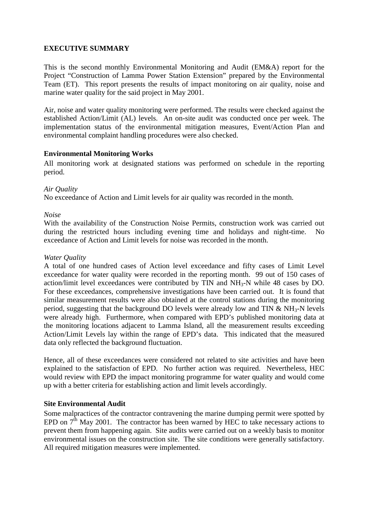### **EXECUTIVE SUMMARY**

This is the second monthly Environmental Monitoring and Audit (EM&A) report for the Project "Construction of Lamma Power Station Extension" prepared by the Environmental Team (ET). This report presents the results of impact monitoring on air quality, noise and marine water quality for the said project in May 2001.

Air, noise and water quality monitoring were performed. The results were checked against the established Action/Limit (AL) levels. An on-site audit was conducted once per week. The implementation status of the environmental mitigation measures, Event/Action Plan and environmental complaint handling procedures were also checked.

#### **Environmental Monitoring Works**

All monitoring work at designated stations was performed on schedule in the reporting period.

#### *Air Quality*

No exceedance of Action and Limit levels for air quality was recorded in the month.

#### *Noise*

With the availability of the Construction Noise Permits, construction work was carried out during the restricted hours including evening time and holidays and night-time. No exceedance of Action and Limit levels for noise was recorded in the month.

#### *Water Quality*

A total of one hundred cases of Action level exceedance and fifty cases of Limit Level exceedance for water quality were recorded in the reporting month. 99 out of 150 cases of action/limit level exceedances were contributed by  $TIN$  and  $NH<sub>3</sub>-N$  while 48 cases by DO. For these exceedances, comprehensive investigations have been carried out. It is found that similar measurement results were also obtained at the control stations during the monitoring period, suggesting that the background DO levels were already low and TIN  $\&$  NH<sub>3</sub>-N levels were already high. Furthermore, when compared with EPD's published monitoring data at the monitoring locations adjacent to Lamma Island, all the measurement results exceeding Action/Limit Levels lay within the range of EPD's data. This indicated that the measured data only reflected the background fluctuation.

Hence, all of these exceedances were considered not related to site activities and have been explained to the satisfaction of EPD. No further action was required. Nevertheless, HEC would review with EPD the impact monitoring programme for water quality and would come up with a better criteria for establishing action and limit levels accordingly.

#### **Site Environmental Audit**

Some malpractices of the contractor contravening the marine dumping permit were spotted by EPD on  $7<sup>th</sup>$  May 2001. The contractor has been warned by HEC to take necessary actions to prevent them from happening again. Site audits were carried out on a weekly basis to monitor environmental issues on the construction site. The site conditions were generally satisfactory. All required mitigation measures were implemented.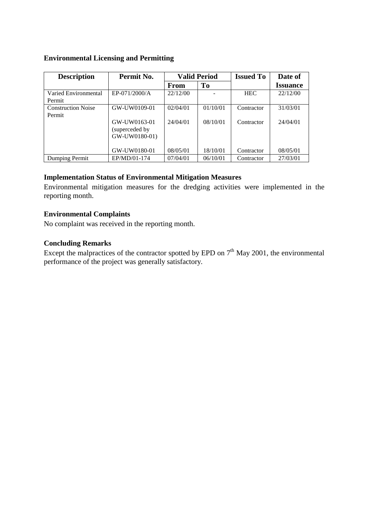#### **Environmental Licensing and Permitting**

| <b>Description</b>                  | Permit No.                                      | <b>Valid Period</b> |          | <b>Issued To</b> | Date of         |
|-------------------------------------|-------------------------------------------------|---------------------|----------|------------------|-----------------|
|                                     |                                                 | From                | To       |                  | <b>Issuance</b> |
| Varied Environmental<br>Permit      | EP-071/2000/A                                   | 22/12/00            |          | <b>HEC</b>       | 22/12/00        |
| <b>Construction Noise</b><br>Permit | GW-UW0109-01                                    | 02/04/01            | 01/10/01 | Contractor       | 31/03/01        |
|                                     | GW-UW0163-01<br>(superceded by<br>GW-UW0180-01) | 24/04/01            | 08/10/01 | Contractor       | 24/04/01        |
|                                     | GW-UW0180-01                                    | 08/05/01            | 18/10/01 | Contractor       | 08/05/01        |
| Dumping Permit                      | EP/MD/01-174                                    | 07/04/01            | 06/10/01 | Contractor       | 27/03/01        |

#### **Implementation Status of Environmental Mitigation Measures**

Environmental mitigation measures for the dredging activities were implemented in the reporting month.

#### **Environmental Complaints**

No complaint was received in the reporting month.

### **Concluding Remarks**

Except the malpractices of the contractor spotted by EPD on  $7<sup>th</sup>$  May 2001, the environmental performance of the project was generally satisfactory.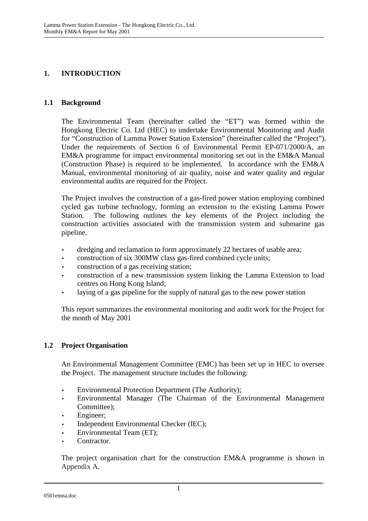### **1. INTRODUCTION**

### **1.1 Background**

The Environmental Team (hereinafter called the "ET") was formed within the Hongkong Electric Co. Ltd (HEC) to undertake Environmental Monitoring and Audit for "Construction of Lamma Power Station Extension" (hereinafter called the "Project"). Under the requirements of Section 6 of Environmental Permit EP-071/2000/A, an EM&A programme for impact environmental monitoring set out in the EM&A Manual (Construction Phase) is required to be implemented. In accordance with the EM&A Manual, environmental monitoring of air quality, noise and water quality and regular environmental audits are required for the Project.

The Project involves the construction of a gas-fired power station employing combined cycled gas turbine technology, forming an extension to the existing Lamma Power Station. The following outlines the key elements of the Project including the construction activities associated with the transmission system and submarine gas pipeline.

- dredging and reclamation to form approximately 22 hectares of usable area;
- construction of six 300MW class gas-fired combined cycle units;
- construction of a gas receiving station;
- construction of a new transmission system linking the Lamma Extension to load centres on Hong Kong Island;
- laying of a gas pipeline for the supply of natural gas to the new power station

This report summarizes the environmental monitoring and audit work for the Project for the month of May 2001

### **1.2 Project Organisation**

An Environmental Management Committee (EMC) has been set up in HEC to oversee the Project. The management structure includes the following:

- Environmental Protection Department (The Authority);
- Environmental Manager (The Chairman of the Environmental Management Committee);
- Engineer;
- Independent Environmental Checker (IEC);
- Environmental Team (ET);
- Contractor.

The project organisation chart for the construction EM&A programme is shown in Appendix A.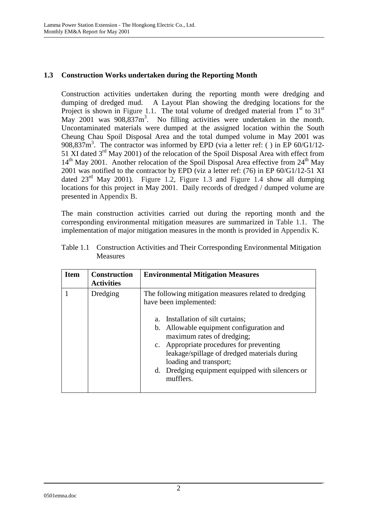### **1.3 Construction Works undertaken during the Reporting Month**

Construction activities undertaken during the reporting month were dredging and dumping of dredged mud. A Layout Plan showing the dredging locations for the Project is shown in Figure 1.1. The total volume of dredged material from  $1<sup>st</sup>$  to  $31<sup>st</sup>$ May 2001 was  $908,837 \text{m}^3$ . No filling activities were undertaken in the month. Uncontaminated materials were dumped at the assigned location within the South Cheung Chau Spoil Disposal Area and the total dumped volume in May 2001 was 908,837m<sup>3</sup>. The contractor was informed by EPD (via a letter ref: () in EP 60/G1/12-51 XI dated  $3<sup>rd</sup>$  May 2001) of the relocation of the Spoil Disposal Area with effect from  $14<sup>th</sup>$  May 2001. Another relocation of the Spoil Disposal Area effective from  $24<sup>th</sup>$  May 2001 was notified to the contractor by EPD (viz a letter ref: (76) in EP 60/G1/12-51 XI dated  $23<sup>rd</sup>$  May 2001). Figure 1.2, Figure 1.3 and Figure 1.4 show all dumping locations for this project in May 2001. Daily records of dredged / dumped volume are presented in Appendix B.

The main construction activities carried out during the reporting month and the corresponding environmental mitigation measures are summarized in Table 1.1. The implementation of major mitigation measures in the month is provided in Appendix K.

| <b>Item</b> | <b>Construction</b><br><b>Activities</b> | <b>Environmental Mitigation Measures</b>                                                                                                                                                                                                                                                                                                                                                 |
|-------------|------------------------------------------|------------------------------------------------------------------------------------------------------------------------------------------------------------------------------------------------------------------------------------------------------------------------------------------------------------------------------------------------------------------------------------------|
|             | Dredging                                 | The following mitigation measures related to dredging<br>have been implemented:<br>Installation of silt curtains;<br>a.<br>b. Allowable equipment configuration and<br>maximum rates of dredging;<br>c. Appropriate procedures for preventing<br>leakage/spillage of dredged materials during<br>loading and transport;<br>d. Dredging equipment equipped with silencers or<br>mufflers. |

Table 1.1 Construction Activities and Their Corresponding Environmental Mitigation Measures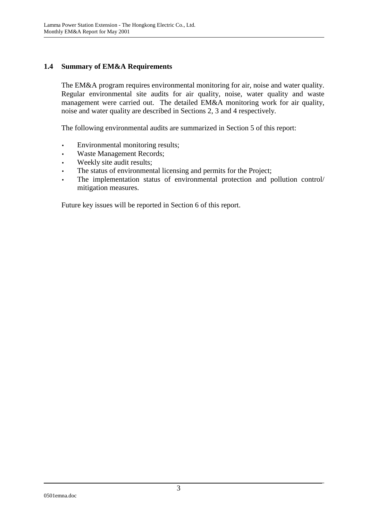### **1.4 Summary of EM&A Requirements**

The EM&A program requires environmental monitoring for air, noise and water quality. Regular environmental site audits for air quality, noise, water quality and waste management were carried out. The detailed EM&A monitoring work for air quality, noise and water quality are described in Sections 2, 3 and 4 respectively.

The following environmental audits are summarized in Section 5 of this report:

- Environmental monitoring results;
- Waste Management Records;
- Weekly site audit results;
- The status of environmental licensing and permits for the Project;
- The implementation status of environmental protection and pollution control/ mitigation measures.

Future key issues will be reported in Section 6 of this report.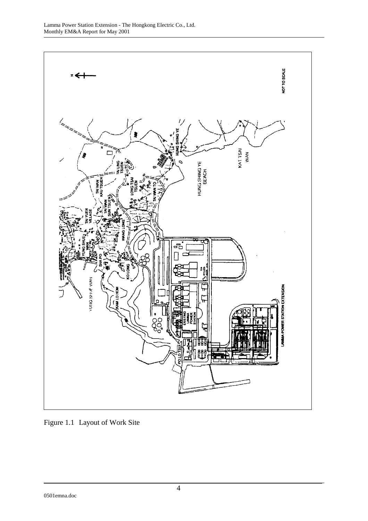

Figure 1.1 Layout of Work Site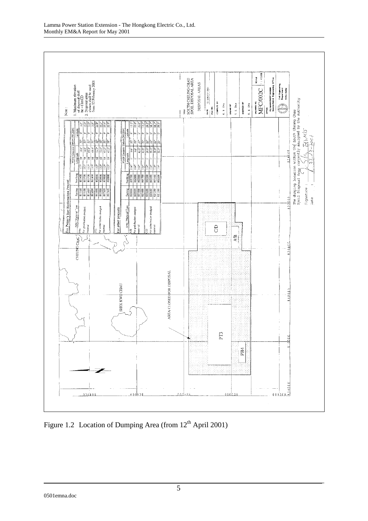

Figure 1.2 Location of Dumping Area (from  $12<sup>th</sup>$  April 2001)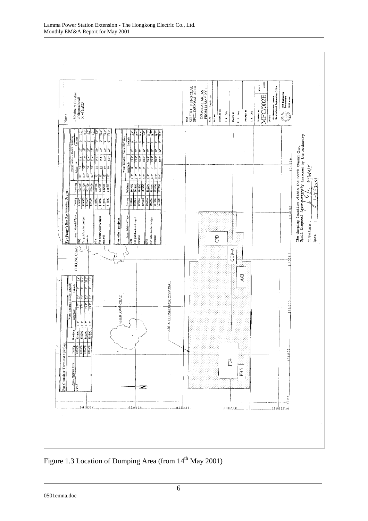

Figure 1.3 Location of Dumping Area (from  $14<sup>th</sup>$  May 2001)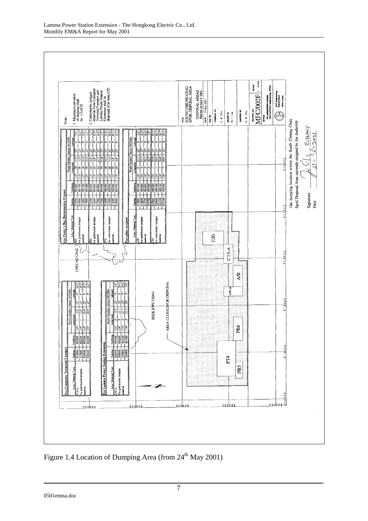

Figure 1.4 Location of Dumping Area (from 24<sup>th</sup> May 2001)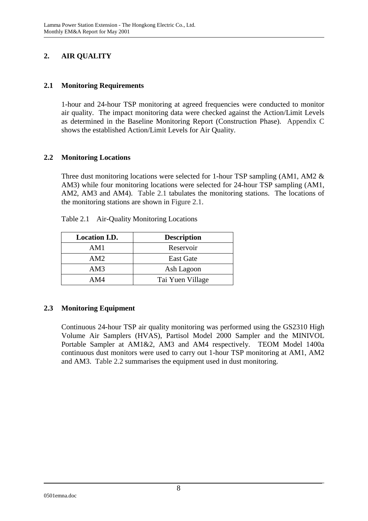# **2. AIR QUALITY**

### **2.1 Monitoring Requirements**

1-hour and 24-hour TSP monitoring at agreed frequencies were conducted to monitor air quality. The impact monitoring data were checked against the Action/Limit Levels as determined in the Baseline Monitoring Report (Construction Phase). Appendix C shows the established Action/Limit Levels for Air Quality.

### **2.2 Monitoring Locations**

Three dust monitoring locations were selected for 1-hour TSP sampling (AM1, AM2 & AM3) while four monitoring locations were selected for 24-hour TSP sampling (AM1, AM2, AM3 and AM4). Table 2.1 tabulates the monitoring stations. The locations of the monitoring stations are shown in Figure 2.1.

| <b>Location I.D.</b> | <b>Description</b> |
|----------------------|--------------------|
| AM1                  | Reservoir          |
| AM2                  | <b>East Gate</b>   |
| AM3                  | Ash Lagoon         |
| AM4                  | Tai Yuen Village   |

Table 2.1 Air-Quality Monitoring Locations

## **2.3 Monitoring Equipment**

Continuous 24-hour TSP air quality monitoring was performed using the GS2310 High Volume Air Samplers (HVAS), Partisol Model 2000 Sampler and the MINIVOL Portable Sampler at AM1&2, AM3 and AM4 respectively. TEOM Model 1400a continuous dust monitors were used to carry out 1-hour TSP monitoring at AM1, AM2 and AM3. Table 2.2 summarises the equipment used in dust monitoring.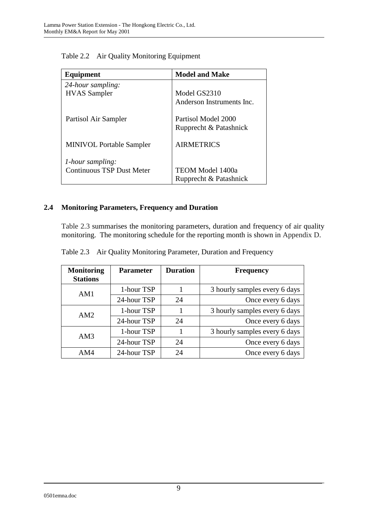| Equipment                        | <b>Model and Make</b>     |
|----------------------------------|---------------------------|
| 24-hour sampling:                |                           |
| <b>HVAS</b> Sampler              | Model GS2310              |
|                                  | Anderson Instruments Inc. |
| Partisol Air Sampler             | Partisol Model 2000       |
|                                  | Rupprecht & Patashnick    |
| <b>MINIVOL Portable Sampler</b>  | <b>AIRMETRICS</b>         |
| 1-hour sampling:                 |                           |
| <b>Continuous TSP Dust Meter</b> | <b>TEOM Model 1400a</b>   |
|                                  | Rupprecht & Patashnick    |

Table 2.2 Air Quality Monitoring Equipment

## **2.4 Monitoring Parameters, Frequency and Duration**

Table 2.3 summarises the monitoring parameters, duration and frequency of air quality monitoring. The monitoring schedule for the reporting month is shown in Appendix D.

|  |  | Table 2.3 Air Quality Monitoring Parameter, Duration and Frequency |  |  |
|--|--|--------------------------------------------------------------------|--|--|
|--|--|--------------------------------------------------------------------|--|--|

| <b>Monitoring</b><br><b>Stations</b> | <b>Parameter</b> | <b>Duration</b> | <b>Frequency</b>              |
|--------------------------------------|------------------|-----------------|-------------------------------|
| AM1                                  | 1-hour TSP       |                 | 3 hourly samples every 6 days |
|                                      | 24-hour TSP      | 24              | Once every 6 days             |
| AM2                                  | 1-hour TSP       |                 | 3 hourly samples every 6 days |
|                                      | 24-hour TSP      | 24              | Once every 6 days             |
| AM3                                  | 1-hour TSP       |                 | 3 hourly samples every 6 days |
|                                      | 24-hour TSP      | 24              | Once every 6 days             |
| AM4                                  | 24-hour TSP      | 24              | Once every 6 days             |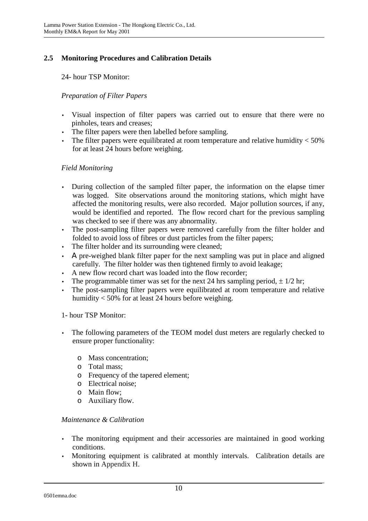## **2.5 Monitoring Procedures and Calibration Details**

24- hour TSP Monitor:

### *Preparation of Filter Papers*

- Visual inspection of filter papers was carried out to ensure that there were no pinholes, tears and creases;
- The filter papers were then labelled before sampling.
- The filter papers were equilibrated at room temperature and relative humidity  $<$  50% for at least 24 hours before weighing.

### *Field Monitoring*

- During collection of the sampled filter paper, the information on the elapse timer was logged. Site observations around the monitoring stations, which might have affected the monitoring results, were also recorded. Major pollution sources, if any, would be identified and reported. The flow record chart for the previous sampling was checked to see if there was any abnormality.
- The post-sampling filter papers were removed carefully from the filter holder and folded to avoid loss of fibres or dust particles from the filter papers;
- The filter holder and its surrounding were cleaned;
- Α pre-weighed blank filter paper for the next sampling was put in place and aligned carefully. The filter holder was then tightened firmly to avoid leakage;
- A new flow record chart was loaded into the flow recorder;
- The programmable timer was set for the next 24 hrs sampling period,  $\pm 1/2$  hr;
- The post-sampling filter papers were equilibrated at room temperature and relative humidity < 50% for at least 24 hours before weighing.

### 1- hour TSP Monitor:

- The following parameters of the TEOM model dust meters are regularly checked to ensure proper functionality:
	- o Mass concentration;
	- o Total mass;
	- o Frequency of the tapered element;
	- o Electrical noise;
	- o Main flow;
	- o Auxiliary flow.

### *Maintenance & Calibration*

- The monitoring equipment and their accessories are maintained in good working conditions.
- Monitoring equipment is calibrated at monthly intervals. Calibration details are shown in Appendix H.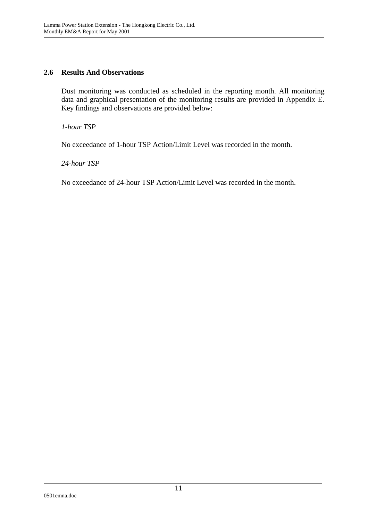### **2.6 Results And Observations**

Dust monitoring was conducted as scheduled in the reporting month. All monitoring data and graphical presentation of the monitoring results are provided in Appendix E. Key findings and observations are provided below:

*1-hour TSP* 

No exceedance of 1-hour TSP Action/Limit Level was recorded in the month.

*24-hour TSP* 

No exceedance of 24-hour TSP Action/Limit Level was recorded in the month.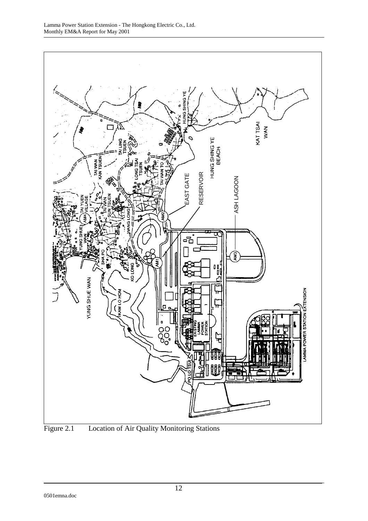

Figure 2.1 Location of Air Quality Monitoring Stations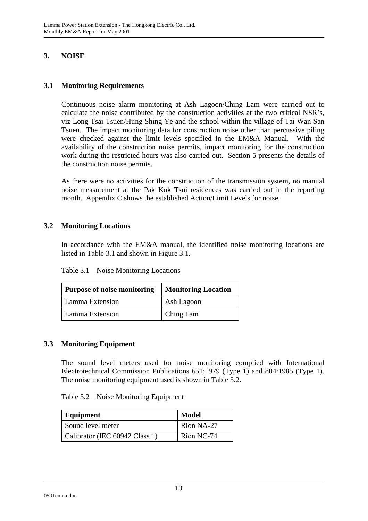### **3. NOISE**

#### **3.1 Monitoring Requirements**

Continuous noise alarm monitoring at Ash Lagoon/Ching Lam were carried out to calculate the noise contributed by the construction activities at the two critical NSR's, viz Long Tsai Tsuen/Hung Shing Ye and the school within the village of Tai Wan San Tsuen. The impact monitoring data for construction noise other than percussive piling were checked against the limit levels specified in the EM&A Manual. With the availability of the construction noise permits, impact monitoring for the construction work during the restricted hours was also carried out. Section 5 presents the details of the construction noise permits.

As there were no activities for the construction of the transmission system, no manual noise measurement at the Pak Kok Tsui residences was carried out in the reporting month. Appendix C shows the established Action/Limit Levels for noise.

### **3.2 Monitoring Locations**

In accordance with the EM&A manual, the identified noise monitoring locations are listed in Table 3.1 and shown in Figure 3.1.

| Table 3.1 | Noise Monitoring Locations |
|-----------|----------------------------|
|-----------|----------------------------|

| <b>Purpose of noise monitoring</b> | <b>Monitoring Location</b> |
|------------------------------------|----------------------------|
| Lamma Extension                    | Ash Lagoon                 |
| Lamma Extension                    | Ching Lam                  |

### **3.3 Monitoring Equipment**

The sound level meters used for noise monitoring complied with International Electrotechnical Commission Publications 651:1979 (Type 1) and 804:1985 (Type 1). The noise monitoring equipment used is shown in Table 3.2.

| Equipment                      | <b>Model</b> |
|--------------------------------|--------------|
| Sound level meter              | Rion NA-27   |
| Calibrator (IEC 60942 Class 1) | Rion NC-74   |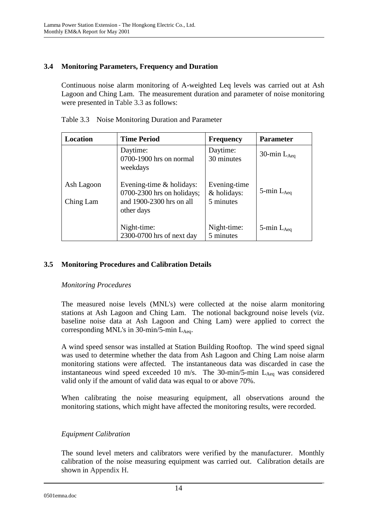### **3.4 Monitoring Parameters, Frequency and Duration**

Continuous noise alarm monitoring of A-weighted Leq levels was carried out at Ash Lagoon and Ching Lam. The measurement duration and parameter of noise monitoring were presented in Table 3.3 as follows:

| Location                | <b>Time Period</b>                                                                                   | <b>Frequency</b>                         | <b>Parameter</b>   |
|-------------------------|------------------------------------------------------------------------------------------------------|------------------------------------------|--------------------|
|                         | Daytime:<br>0700-1900 hrs on normal<br>weekdays                                                      | Daytime:<br>30 minutes                   | 30-min $L_{Aeq}$   |
| Ash Lagoon<br>Ching Lam | Evening-time $&$ holidays:<br>$0700-2300$ hrs on holidays;<br>and 1900-2300 hrs on all<br>other days | Evening-time<br>& holidays:<br>5 minutes | $5$ -min $L_{Aeq}$ |
|                         | Night-time:<br>2300-0700 hrs of next day                                                             | Night-time:<br>5 minutes                 | $5$ -min $L_{Aea}$ |

Table 3.3 Noise Monitoring Duration and Parameter

### **3.5 Monitoring Procedures and Calibration Details**

### *Monitoring Procedures*

The measured noise levels (MNL's) were collected at the noise alarm monitoring stations at Ash Lagoon and Ching Lam. The notional background noise levels (viz. baseline noise data at Ash Lagoon and Ching Lam) were applied to correct the corresponding MNL's in  $30$ -min/5-min L<sub>Aeq</sub>.

A wind speed sensor was installed at Station Building Rooftop. The wind speed signal was used to determine whether the data from Ash Lagoon and Ching Lam noise alarm monitoring stations were affected. The instantaneous data was discarded in case the instantaneous wind speed exceeded 10 m/s. The 30-min/5-min  $L_{Aeq}$  was considered valid only if the amount of valid data was equal to or above 70%.

When calibrating the noise measuring equipment, all observations around the monitoring stations, which might have affected the monitoring results, were recorded.

### *Equipment Calibration*

The sound level meters and calibrators were verified by the manufacturer. Monthly calibration of the noise measuring equipment was carried out. Calibration details are shown in Appendix H.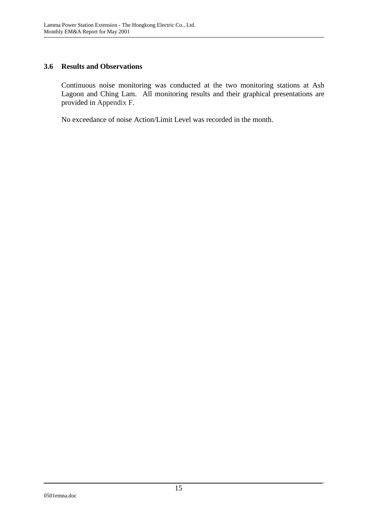### **3.6 Results and Observations**

Continuous noise monitoring was conducted at the two monitoring stations at Ash Lagoon and Ching Lam. All monitoring results and their graphical presentations are provided in Appendix F.

No exceedance of noise Action/Limit Level was recorded in the month.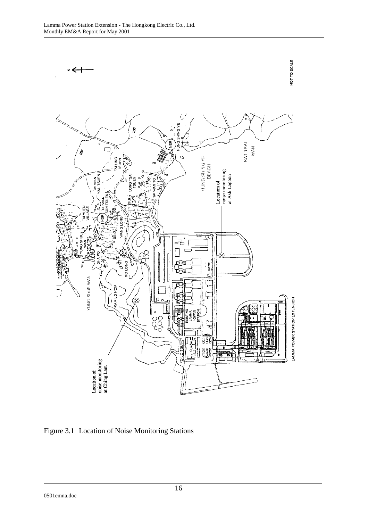

Figure 3.1 Location of Noise Monitoring Stations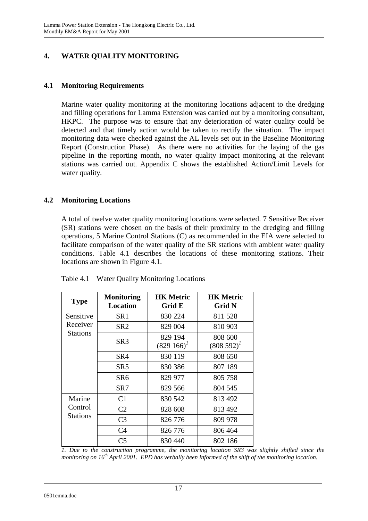## **4. WATER QUALITY MONITORING**

### **4.1 Monitoring Requirements**

Marine water quality monitoring at the monitoring locations adjacent to the dredging and filling operations for Lamma Extension was carried out by a monitoring consultant, HKPC. The purpose was to ensure that any deterioration of water quality could be detected and that timely action would be taken to rectify the situation. The impact monitoring data were checked against the AL levels set out in the Baseline Monitoring Report (Construction Phase). As there were no activities for the laying of the gas pipeline in the reporting month, no water quality impact monitoring at the relevant stations was carried out. Appendix C shows the established Action/Limit Levels for water quality.

### **4.2 Monitoring Locations**

A total of twelve water quality monitoring locations were selected. 7 Sensitive Receiver (SR) stations were chosen on the basis of their proximity to the dredging and filling operations, 5 Marine Control Stations (C) as recommended in the EIA were selected to facilitate comparison of the water quality of the SR stations with ambient water quality conditions. Table 4.1 describes the locations of these monitoring stations. Their locations are shown in Figure 4.1.

| <b>Type</b>                | <b>Monitoring</b><br><b>Location</b> | <b>HK Metric</b><br>Grid E | <b>HK Metric</b><br><b>Grid N</b> |
|----------------------------|--------------------------------------|----------------------------|-----------------------------------|
| Sensitive                  | SR <sub>1</sub>                      | 830 224                    | 811 528                           |
| Receiver                   | SR <sub>2</sub>                      | 829 004                    | 810 903                           |
| Stations                   | SR3                                  | 829 194<br>$(829\;166)^t$  | 808 600<br>$(808592)^{1}$         |
|                            | SR4                                  | 830 119                    | 808 650                           |
|                            | SR <sub>5</sub>                      | 830 386                    | 807 189                           |
|                            | SR <sub>6</sub>                      | 829 977                    | 805 758                           |
|                            | SR7                                  | 829 566                    | 804 545                           |
| Marine                     | C <sub>1</sub>                       | 830 542                    | 813 492                           |
| Control<br><b>Stations</b> | C <sub>2</sub>                       | 828 608                    | 813 492                           |
|                            | C <sub>3</sub>                       | 826 776                    | 809 978                           |
|                            | C <sub>4</sub>                       | 826 776                    | 806 464                           |
|                            | C5                                   | 830 440                    | 802 186                           |

Table 4.1 Water Quality Monitoring Locations

*1. Due to the construction programme, the monitoring location SR3 was slightly shifted since the monitoring on 16th April 2001. EPD has verbally been informed of the shift of the monitoring location.*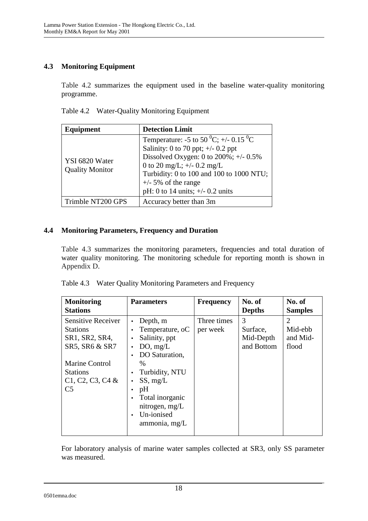## **4.3 Monitoring Equipment**

Table 4.2 summarizes the equipment used in the baseline water-quality monitoring programme.

Table 4.2 Water-Quality Monitoring Equipment

| <b>Detection Limit</b><br>Equipment      |                                                                                                                                                                                                                                                                                                  |  |
|------------------------------------------|--------------------------------------------------------------------------------------------------------------------------------------------------------------------------------------------------------------------------------------------------------------------------------------------------|--|
| YSI 6820 Water<br><b>Quality Monitor</b> | Temperature: -5 to 50 <sup>0</sup> C; +/- 0.15 <sup>0</sup> C<br>Salinity: 0 to 70 ppt; $\pm$ /- 0.2 ppt<br>Dissolved Oxygen: 0 to $200\%$ ; +/- 0.5%<br>0 to 20 mg/L; $+/- 0.2$ mg/L<br>Turbidity: 0 to 100 and 100 to 1000 NTU;<br>$+/-$ 5% of the range<br>pH: 0 to 14 units; $+/- 0.2$ units |  |
| Trimble NT200 GPS                        | Accuracy better than 3m                                                                                                                                                                                                                                                                          |  |

### **4.4 Monitoring Parameters, Frequency and Duration**

Table 4.3 summarizes the monitoring parameters, frequencies and total duration of water quality monitoring. The monitoring schedule for reporting month is shown in Appendix D.

| Table 4.3 Water Quality Monitoring Parameters and Frequency |  |
|-------------------------------------------------------------|--|
|                                                             |  |

| <b>Monitoring</b>         | <b>Parameters</b>            | <b>Frequency</b> | No. of        | No. of         |
|---------------------------|------------------------------|------------------|---------------|----------------|
| <b>Stations</b>           |                              |                  | <b>Depths</b> | <b>Samples</b> |
| <b>Sensitive Receiver</b> | Depth, m                     | Three times      | 3             | $\overline{2}$ |
| <b>Stations</b>           | Temperature, oC<br>$\bullet$ | per week         | Surface,      | Mid-ebb        |
| SR1, SR2, SR4,            | Salinity, ppt                |                  | Mid-Depth     | and Mid-       |
| SR5, SR6 & SR7            | DO, mg/L                     |                  | and Bottom    | flood          |
|                           | DO Saturation,               |                  |               |                |
| <b>Marine Control</b>     | $\%$                         |                  |               |                |
| <b>Stations</b>           | Turbidity, NTU               |                  |               |                |
| $C1, C2, C3, C4$ &        | SS, mg/L                     |                  |               |                |
| C <sub>5</sub>            | pH                           |                  |               |                |
|                           | Total inorganic              |                  |               |                |
|                           | nitrogen, mg/L               |                  |               |                |
|                           | Un-ionised                   |                  |               |                |
|                           | ammonia, mg/L                |                  |               |                |
|                           |                              |                  |               |                |

For laboratory analysis of marine water samples collected at SR3, only SS parameter was measured.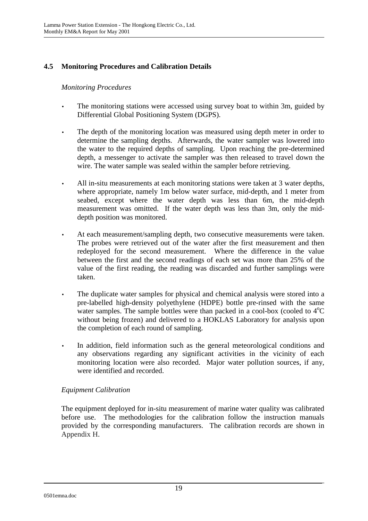## **4.5 Monitoring Procedures and Calibration Details**

### *Monitoring Procedures*

- The monitoring stations were accessed using survey boat to within 3m, guided by Differential Global Positioning System (DGPS).
- The depth of the monitoring location was measured using depth meter in order to determine the sampling depths. Afterwards, the water sampler was lowered into the water to the required depths of sampling. Upon reaching the pre-determined depth, a messenger to activate the sampler was then released to travel down the wire. The water sample was sealed within the sampler before retrieving.
- All in-situ measurements at each monitoring stations were taken at 3 water depths, where appropriate, namely 1m below water surface, mid-depth, and 1 meter from seabed, except where the water depth was less than 6m, the mid-depth measurement was omitted. If the water depth was less than 3m, only the middepth position was monitored.
- At each measurement/sampling depth, two consecutive measurements were taken. The probes were retrieved out of the water after the first measurement and then redeployed for the second measurement. Where the difference in the value between the first and the second readings of each set was more than 25% of the value of the first reading, the reading was discarded and further samplings were taken.
- The duplicate water samples for physical and chemical analysis were stored into a pre-labelled high-density polyethylene (HDPE) bottle pre-rinsed with the same water samples. The sample bottles were than packed in a cool-box (cooled to  $4^{\circ}C$ without being frozen) and delivered to a HOKLAS Laboratory for analysis upon the completion of each round of sampling.
- In addition, field information such as the general meteorological conditions and any observations regarding any significant activities in the vicinity of each monitoring location were also recorded. Major water pollution sources, if any, were identified and recorded.

### *Equipment Calibration*

The equipment deployed for in-situ measurement of marine water quality was calibrated before use. The methodologies for the calibration follow the instruction manuals provided by the corresponding manufacturers. The calibration records are shown in Appendix H.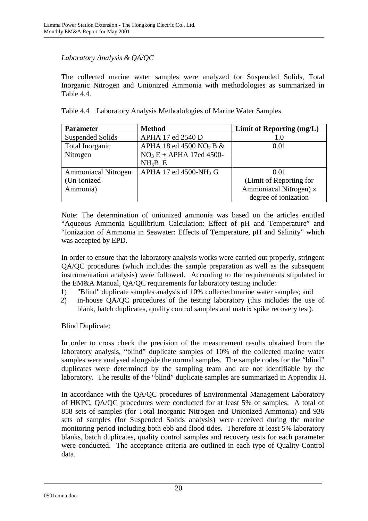### *Laboratory Analysis & QA/QC*

The collected marine water samples were analyzed for Suspended Solids, Total Inorganic Nitrogen and Unionized Ammonia with methodologies as summarized in Table 4.4.

|  | Table 4.4 Laboratory Analysis Methodologies of Marine Water Samples |  |  |
|--|---------------------------------------------------------------------|--|--|
|  |                                                                     |  |  |

| <b>Parameter</b>           | <b>Method</b>                          | Limit of Reporting (mg/L) |
|----------------------------|----------------------------------------|---------------------------|
| <b>Suspended Solids</b>    | APHA 17 ed 2540 D                      | 1.0                       |
| Total Inorganic            | APHA 18 ed 4500 NO <sub>2</sub> B $\&$ | 0.01                      |
| Nitrogen                   | $NO3E + APHA$ 17ed 4500-               |                           |
|                            | NH <sub>3</sub> B, E                   |                           |
| <b>Ammoniacal Nitrogen</b> | APHA 17 ed 4500-NH <sub>3</sub> G      | 0.01                      |
| (Un-ionized)               |                                        | (Limit of Reporting for   |
| Ammonia)                   |                                        | Ammoniacal Nitrogen) x    |
|                            |                                        | degree of ionization      |

Note: The determination of unionized ammonia was based on the articles entitled "Aqueous Ammonia Equilibrium Calculation: Effect of pH and Temperature" and "Ionization of Ammonia in Seawater: Effects of Temperature, pH and Salinity" which was accepted by EPD.

In order to ensure that the laboratory analysis works were carried out properly, stringent QA/QC procedures (which includes the sample preparation as well as the subsequent instrumentation analysis) were followed. According to the requirements stipulated in the EM&A Manual, QA/QC requirements for laboratory testing include:

- 1) "Blind" duplicate samples analysis of 10% collected marine water samples; and
- 2) in-house QA/QC procedures of the testing laboratory (this includes the use of blank, batch duplicates, quality control samples and matrix spike recovery test).

Blind Duplicate:

In order to cross check the precision of the measurement results obtained from the laboratory analysis, "blind" duplicate samples of 10% of the collected marine water samples were analysed alongside the normal samples. The sample codes for the "blind" duplicates were determined by the sampling team and are not identifiable by the laboratory. The results of the "blind" duplicate samples are summarized in Appendix H.

In accordance with the QA/QC procedures of Environmental Management Laboratory of HKPC, QA/QC procedures were conducted for at least 5% of samples. A total of 858 sets of samples (for Total Inorganic Nitrogen and Unionized Ammonia) and 936 sets of samples (for Suspended Solids analysis) were received during the marine monitoring period including both ebb and flood tides. Therefore at least 5% laboratory blanks, batch duplicates, quality control samples and recovery tests for each parameter were conducted. The acceptance criteria are outlined in each type of Quality Control data.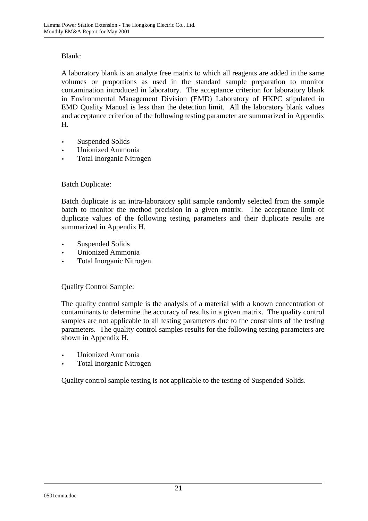### Blank:

A laboratory blank is an analyte free matrix to which all reagents are added in the same volumes or proportions as used in the standard sample preparation to monitor contamination introduced in laboratory. The acceptance criterion for laboratory blank in Environmental Management Division (EMD) Laboratory of HKPC stipulated in EMD Quality Manual is less than the detection limit. All the laboratory blank values and acceptance criterion of the following testing parameter are summarized in Appendix H.

- Suspended Solids
- Unionized Ammonia
- Total Inorganic Nitrogen

### Batch Duplicate:

Batch duplicate is an intra-laboratory split sample randomly selected from the sample batch to monitor the method precision in a given matrix. The acceptance limit of duplicate values of the following testing parameters and their duplicate results are summarized in Appendix H.

- Suspended Solids
- Unionized Ammonia
- Total Inorganic Nitrogen

### Quality Control Sample:

The quality control sample is the analysis of a material with a known concentration of contaminants to determine the accuracy of results in a given matrix. The quality control samples are not applicable to all testing parameters due to the constraints of the testing parameters. The quality control samples results for the following testing parameters are shown in Appendix H.

- Unionized Ammonia
- Total Inorganic Nitrogen

Quality control sample testing is not applicable to the testing of Suspended Solids.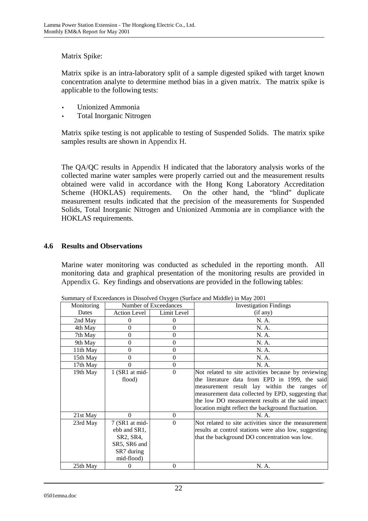### Matrix Spike:

Matrix spike is an intra-laboratory split of a sample digested spiked with target known concentration analyte to determine method bias in a given matrix. The matrix spike is applicable to the following tests:

- Unionized Ammonia
- Total Inorganic Nitrogen

Matrix spike testing is not applicable to testing of Suspended Solids. The matrix spike samples results are shown in Appendix H.

The QA/QC results in Appendix H indicated that the laboratory analysis works of the collected marine water samples were properly carried out and the measurement results obtained were valid in accordance with the Hong Kong Laboratory Accreditation Scheme (HOKLAS) requirements. On the other hand, the "blind" duplicate measurement results indicated that the precision of the measurements for Suspended Solids, Total Inorganic Nitrogen and Unionized Ammonia are in compliance with the HOKLAS requirements.

### **4.6 Results and Observations**

Marine water monitoring was conducted as scheduled in the reporting month. All monitoring data and graphical presentation of the monitoring results are provided in Appendix G. Key findings and observations are provided in the following tables:

| Summary of Exceedances in Dissorved Oxygen (Surface and Middle) in May 2001 |                                                                                         |             |                                                                                                                                                                                                                                                                                                                       |  |
|-----------------------------------------------------------------------------|-----------------------------------------------------------------------------------------|-------------|-----------------------------------------------------------------------------------------------------------------------------------------------------------------------------------------------------------------------------------------------------------------------------------------------------------------------|--|
| Monitoring                                                                  | Number of Exceedances                                                                   |             | <b>Investigation Findings</b>                                                                                                                                                                                                                                                                                         |  |
| Dates                                                                       | <b>Action Level</b>                                                                     | Limit Level | (if any)                                                                                                                                                                                                                                                                                                              |  |
| 2nd May                                                                     | 0                                                                                       | $\theta$    | N. A.                                                                                                                                                                                                                                                                                                                 |  |
| 4th May                                                                     | 0                                                                                       | $\Omega$    | N. A.                                                                                                                                                                                                                                                                                                                 |  |
| 7th May                                                                     | 0                                                                                       | $\Omega$    | N. A.                                                                                                                                                                                                                                                                                                                 |  |
| 9th May                                                                     | 0                                                                                       | $\Omega$    | N. A.                                                                                                                                                                                                                                                                                                                 |  |
| 11th May                                                                    | 0                                                                                       | 0           | N. A.                                                                                                                                                                                                                                                                                                                 |  |
| 15th May                                                                    | 0                                                                                       | $\theta$    | N. A.                                                                                                                                                                                                                                                                                                                 |  |
| 17th May                                                                    | 0                                                                                       | $\Omega$    | N. A.                                                                                                                                                                                                                                                                                                                 |  |
| 19th May                                                                    | 1 (SR1 at mid-<br>flood)                                                                | $\Omega$    | Not related to site activities because by reviewing<br>the literature data from EPD in 1999, the said<br>measurement result lay within the ranges of<br>measurement data collected by EPD, suggesting that<br>the low DO measurement results at the said impact<br>location might reflect the background fluctuation. |  |
| 21st May                                                                    | $\Omega$                                                                                | $\Omega$    | N. A.                                                                                                                                                                                                                                                                                                                 |  |
| 23rd May                                                                    | 7 (SR1 at mid-<br>ebb and SR1,<br>SR2, SR4,<br>SR5, SR6 and<br>SR7 during<br>mid-flood) | $\Omega$    | Not related to site activities since the measurement<br>results at control stations were also low, suggesting<br>that the background DO concentration was low.                                                                                                                                                        |  |
| 25th May                                                                    | 0                                                                                       | $\theta$    | N. A.                                                                                                                                                                                                                                                                                                                 |  |

Summary of Exceedances in Dissolved Oxygen (Surface and Middle) in May 2001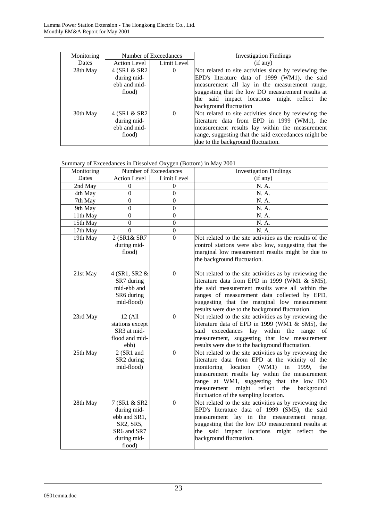| Monitoring | Number of Exceedances                                    |                | <b>Investigation Findings</b>                                                                                                                                                                                                                                                         |
|------------|----------------------------------------------------------|----------------|---------------------------------------------------------------------------------------------------------------------------------------------------------------------------------------------------------------------------------------------------------------------------------------|
| Dates      | Action Level                                             | Limit Level    | (if any)                                                                                                                                                                                                                                                                              |
| 28th May   | 4 (SR1 & SR2<br>during mid-<br>ebb and mid-<br>flood)    | $\overline{0}$ | Not related to site activities since by reviewing the<br>EPD's literature data of 1999 (WM1), the said<br>measurement all lay in the measurement range,<br>suggesting that the low DO measurement results at<br>the said impact locations might reflect the<br>background fluctuation |
| 30th May   | $4$ (SR1 & SR2)<br>during mid-<br>ebb and mid-<br>flood) | $\Omega$       | Not related to site activities since by reviewing the<br>literature data from EPD in 1999 (WM1), the<br>measurement results lay within the measurement<br>range, suggesting that the said exceedances might be<br>due to the background fluctuation.                                  |

#### Summary of Exceedances in Dissolved Oxygen (Bottom) in May 2001

| Monitoring |                                                                                                  | Number of Exceedances | <b>Investigation Findings</b>                                                                                                                                                                                                                                                                                                                               |
|------------|--------------------------------------------------------------------------------------------------|-----------------------|-------------------------------------------------------------------------------------------------------------------------------------------------------------------------------------------------------------------------------------------------------------------------------------------------------------------------------------------------------------|
| Dates      | <b>Action Level</b>                                                                              | Limit Level           | (if any)                                                                                                                                                                                                                                                                                                                                                    |
| 2nd May    | $\boldsymbol{0}$                                                                                 | $\overline{0}$        | N. A.                                                                                                                                                                                                                                                                                                                                                       |
| 4th May    | $\overline{0}$                                                                                   | $\overline{0}$        | N. A.                                                                                                                                                                                                                                                                                                                                                       |
| 7th May    | $\overline{0}$                                                                                   | $\overline{0}$        | N. A.                                                                                                                                                                                                                                                                                                                                                       |
| 9th May    | $\overline{0}$                                                                                   | $\overline{0}$        | N. A.                                                                                                                                                                                                                                                                                                                                                       |
| 11th May   | $\overline{0}$                                                                                   | $\overline{0}$        | N. A.                                                                                                                                                                                                                                                                                                                                                       |
| 15th May   | $\overline{0}$                                                                                   | $\overline{0}$        | N. A.                                                                                                                                                                                                                                                                                                                                                       |
| 17th May   | $\overline{0}$                                                                                   | $\boldsymbol{0}$      | N. A.                                                                                                                                                                                                                                                                                                                                                       |
| 19th May   | 2 (SR1& SR7<br>during mid-<br>flood)                                                             | $\overline{0}$        | Not related to the site activities as the results of the<br>control stations were also low, suggesting that the<br>marginal low measurement results might be due to<br>the background fluctuation.                                                                                                                                                          |
| 21st May   | 4 (SR1, SR2 &<br>SR7 during<br>mid-ebb and<br>SR6 during<br>mid-flood)                           | $\mathbf{0}$          | Not related to the site activities as by reviewing the<br>literature data from EPD in 1999 (WM1 & SM5),<br>the said measurement results were all within the<br>ranges of measurement data collected by EPD,<br>suggesting that the marginal low measurement<br>results were due to the background fluctuation.                                              |
| 23rd May   | $12$ (All<br>stations except<br>SR3 at mid-<br>flood and mid-<br>ebb)                            | $\boldsymbol{0}$      | Not related to the site activities as by reviewing the<br>literature data of EPD in 1999 (WM1 & SM5), the<br>within the range of<br>said<br>exceedances lay<br>measurement, suggesting that low measurement<br>results were due to the background fluctuation.                                                                                              |
| 25th May   | 2 (SR1 and<br>SR <sub>2</sub> during<br>mid-flood)                                               | $\boldsymbol{0}$      | Not related to the site activities as by reviewing the<br>literature data from EPD at the vicinity of the<br>monitoring location<br>(WM1)<br>in<br>1999,<br>the<br>measurement results lay within the measurement<br>range at WM1, suggesting that the low DO<br>might reflect<br>measurement<br>the<br>background<br>fluctuation of the sampling location. |
| 28th May   | 7 (SR1 & SR2<br>during mid-<br>ebb and SR1,<br>SR2, SR5,<br>SR6 and SR7<br>during mid-<br>flood) | $\boldsymbol{0}$      | Not related to the site activities as by reviewing the<br>EPD's literature data of 1999 (SM5), the said<br>measurement lay in the measurement range,<br>suggesting that the low DO measurement results at<br>the said impact locations might reflect the<br>background fluctuation.                                                                         |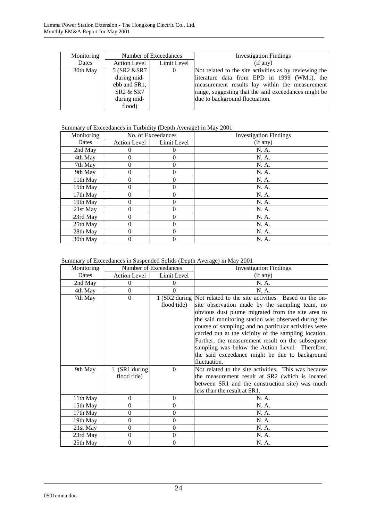| Monitoring | Number of Exceedances |                | <b>Investigation Findings</b>                          |
|------------|-----------------------|----------------|--------------------------------------------------------|
| Dates      | Action Level          | Limit Level    | (if any)                                               |
| 30th May   | 5 (SR2 & SR7)         | $\overline{0}$ | Not related to the site activities as by reviewing the |
|            | during mid-           |                | literature data from EPD in 1999 (WM1), the            |
|            | ebb and SR1,          |                | measurement results lay within the measurement         |
|            | SR2 & SR7             |                | range, suggesting that the said exceedances might be   |
|            | during mid-           |                | due to background fluctuation.                         |
|            | flood)                |                |                                                        |

### Summary of Exceedances in Turbidity (Depth Average) in May 2001

| Monitoring | No. of Exceedances |             | <b>Investigation Findings</b> |
|------------|--------------------|-------------|-------------------------------|
| Dates      | Action Level       | Limit Level | (if any)                      |
| 2nd May    |                    | 0           | N. A.                         |
| 4th May    | 0                  | 0           | N. A.                         |
| 7th May    | 0                  | 0           | N. A.                         |
| 9th May    | 0                  | 0           | N. A.                         |
| 11th May   | 0                  | 0           | N. A.                         |
| 15th May   | 0                  | 0           | N. A.                         |
| 17th May   | 0                  | 0           | N. A.                         |
| 19th May   | 0                  | 0           | N. A.                         |
| 21st May   | 0                  | 0           | N. A.                         |
| 23rd May   | 0                  | 0           | N. A.                         |
| 25th May   | 0                  | 0           | N. A.                         |
| 28th May   | 0                  | 0           | N. A.                         |
| 30th May   | 0                  | 0           | N. A.                         |

| Summary of Exceedances in Suspended Solids (Depth Average) in May 2001 |  |  |  |  |
|------------------------------------------------------------------------|--|--|--|--|
|                                                                        |  |  |  |  |

| Monitoring   |               | Number of Exceedances | <b>Investigation Findings</b>                                      |  |
|--------------|---------------|-----------------------|--------------------------------------------------------------------|--|
| <b>Dates</b> | Action Level  | Limit Level           | (if any)                                                           |  |
| 2nd May      | 0             | $\Omega$              | N. A.                                                              |  |
| 4th May      | $\Omega$      | $\Omega$              | N. A.                                                              |  |
| 7th May      | $\Omega$      |                       | 1 (SR2 during Not related to the site activities. Based on the on- |  |
|              |               | flood tide)           | site observation made by the sampling team, no                     |  |
|              |               |                       | obvious dust plume migrated from the site area to                  |  |
|              |               |                       | the said monitoring station was observed during the                |  |
|              |               |                       | course of sampling; and no particular activities were              |  |
|              |               |                       | carried out at the vicinity of the sampling location.              |  |
|              |               |                       | Further, the measurement result on the subsequent                  |  |
|              |               |                       | sampling was below the Action Level. Therefore,                    |  |
|              |               |                       | the said exceedance might be due to background                     |  |
|              |               |                       | fluctuation.                                                       |  |
| 9th May      | 1 (SR1 during | $\Omega$              | Not related to the site activities. This was because               |  |
|              | flood tide)   |                       | the measurement result at SR2 (which is located)                   |  |
|              |               |                       | between SR1 and the construction site) was much                    |  |
|              |               |                       | less than the result at SR1.                                       |  |
| 11th May     | $\Omega$      | $\Omega$              | N. A.                                                              |  |
| 15th May     | $\Omega$      | $\theta$              | N. A.                                                              |  |
| 17th May     | $\Omega$      | $\Omega$              | N. A.                                                              |  |
| 19th May     | $\Omega$      | $\Omega$              | N. A.                                                              |  |
| 21st May     | $\Omega$      | $\Omega$              | N. A.                                                              |  |
| 23rd May     | $\Omega$      | $\Omega$              | N. A.                                                              |  |
| 25th May     | $\theta$      | $\theta$              | N. A.                                                              |  |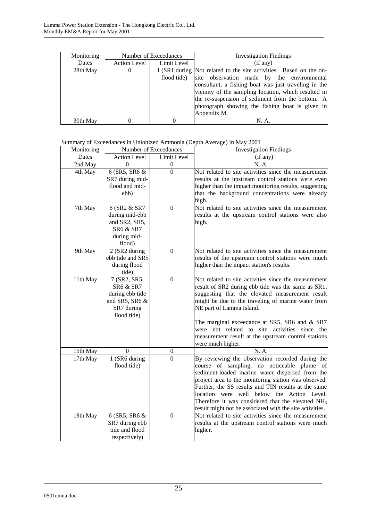| Monitoring | Number of Exceedances |             | <b>Investigation Findings</b>                                      |  |
|------------|-----------------------|-------------|--------------------------------------------------------------------|--|
| Dates      | <b>Action Level</b>   | Limit Level | (if any)                                                           |  |
| 28th May   | $\theta$              |             | 1 (SR1 during Not related to the site activities. Based on the on- |  |
|            |                       | flood tide) | site observation made by the environmental                         |  |
|            |                       |             | consultant, a fishing boat was just traveling in the               |  |
|            |                       |             | vicinity of the sampling location, which resulted in               |  |
|            |                       |             | the re-suspension of sediment from the bottom. A                   |  |
|            |                       |             | photograph showing the fishing boat is given in                    |  |
|            |                       |             | Appendix M.                                                        |  |
| 30th May   |                       |             |                                                                    |  |

Summary of Exceedances in Unionized Ammonia (Depth Average) in May 2001

| Monitoring | Number of Exceedances                                                                                  |                  | <b>Investigation Findings</b>                                                                                                                                                                                                                                                                                                                                                                                                               |
|------------|--------------------------------------------------------------------------------------------------------|------------------|---------------------------------------------------------------------------------------------------------------------------------------------------------------------------------------------------------------------------------------------------------------------------------------------------------------------------------------------------------------------------------------------------------------------------------------------|
| Dates      | <b>Action Level</b>                                                                                    | Limit Level      | (if any)                                                                                                                                                                                                                                                                                                                                                                                                                                    |
| 2nd May    | $\Omega$                                                                                               | $\boldsymbol{0}$ | N. A.                                                                                                                                                                                                                                                                                                                                                                                                                                       |
| 4th May    | 6 (SR5, SR6 &<br>SR7 during mid-<br>flood and mid-<br>ebb)                                             | $\theta$         | Not related to site activities since the measurement<br>results at the upstream control stations were even<br>higher than the impact monitoring results, suggesting<br>that the background concentrations were already<br>high.                                                                                                                                                                                                             |
| 7th May    | 6 (SR2 & SR7<br>during mid-ebb<br>and SR2, SR5,<br><b>SR6 &amp; SR7</b><br>during mid-<br>flood)       | $\overline{0}$   | Not related to site activities since the measurement<br>results at the upstream control stations were also<br>high.                                                                                                                                                                                                                                                                                                                         |
| 9th May    | 2 (SR2 during<br>ebb tide and SR5<br>during flood<br>tide)                                             | $\boldsymbol{0}$ | Not related to site activities since the measurement<br>results of the upstream control stations were much<br>higher than the impact station's results.                                                                                                                                                                                                                                                                                     |
| 11th May   | 7 (SR2, SR5,<br><b>SR6 &amp; SR7</b><br>during ebb tide<br>and SR5, SR6 &<br>SR7 during<br>flood tide) | $\mathbf{0}$     | Not related to site activities since the measurement<br>result of SR2 during ebb tide was the same as SR1,<br>suggesting that the elevated measurement result<br>might be due to the traveling of marine water from<br>NE part of Lamma Island.<br>The marginal exceedance at SR5, SR6 and & SR7<br>were not related to site activities since the<br>measurement result at the upstream control stations<br>were much higher.               |
| 15th May   | $\theta$                                                                                               | $\boldsymbol{0}$ | N. A.                                                                                                                                                                                                                                                                                                                                                                                                                                       |
| 17th May   | 1 (SR6 during<br>flood tide)                                                                           | $\theta$         | By reviewing the observation recorded during the<br>course of sampling, no noticeable plume of<br>sediment-loaded marine water dispersed from the<br>project area to the monitoring station was observed.<br>Further, the SS results and TIN results at the same<br>location were well below the Action Level.<br>Therefore it was considered that the elevated NH <sub>3</sub><br>result might not be associated with the site activities. |
| 19th May   | 6 (SR5, SR6 &<br>SR7 during ebb<br>tide and flood<br>respectively)                                     | $\overline{0}$   | Not related to site activities since the measurement<br>results at the upstream control stations were much<br>higher.                                                                                                                                                                                                                                                                                                                       |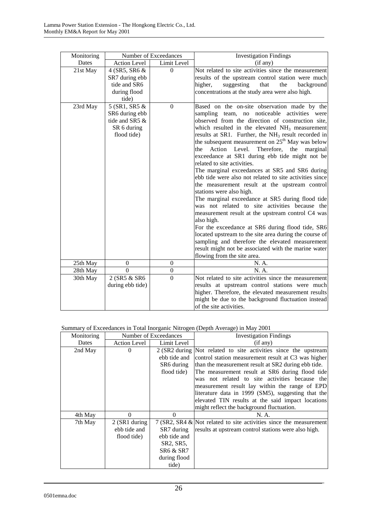| Monitoring           |                                                                                           | Number of Exceedances    | <b>Investigation Findings</b>                                                                                                                                                                                                                                                                                                                                                                                                                                                                                                                                                                                                                                                                                                                                                                                                                                                                                                                                                                                                                                     |  |  |
|----------------------|-------------------------------------------------------------------------------------------|--------------------------|-------------------------------------------------------------------------------------------------------------------------------------------------------------------------------------------------------------------------------------------------------------------------------------------------------------------------------------------------------------------------------------------------------------------------------------------------------------------------------------------------------------------------------------------------------------------------------------------------------------------------------------------------------------------------------------------------------------------------------------------------------------------------------------------------------------------------------------------------------------------------------------------------------------------------------------------------------------------------------------------------------------------------------------------------------------------|--|--|
| Dates                | <b>Action Level</b>                                                                       | Limit Level              | (if any)                                                                                                                                                                                                                                                                                                                                                                                                                                                                                                                                                                                                                                                                                                                                                                                                                                                                                                                                                                                                                                                          |  |  |
| 21st May<br>23rd May | 4 (SR5, SR6 &<br>SR7 during ebb<br>tide and SR6<br>during flood<br>tide)<br>5 (SR1, SR5 & | $\mathbf{0}$<br>$\Omega$ | Not related to site activities since the measurement<br>results of the upstream control station were much<br>suggesting<br>that<br>the<br>higher,<br>background<br>concentrations at the study area were also high.<br>Based on the on-site observation made by the                                                                                                                                                                                                                                                                                                                                                                                                                                                                                                                                                                                                                                                                                                                                                                                               |  |  |
|                      | SR6 during ebb<br>tide and SR5 &<br>SR 6 during<br>flood tide)                            |                          | sampling team, no noticeable activities were<br>observed from the direction of construction site,<br>which resulted in the elevated $NH3$ measurement<br>results at SR1. Further, the NH <sub>3</sub> result recorded in<br>the subsequent measurement on 25 <sup>th</sup> May was below<br>Level.<br>Therefore,<br>the<br>the<br>Action<br>marginal<br>exceedance at SR1 during ebb tide might not be<br>related to site activities.<br>The marginal exceedances at SR5 and SR6 during<br>ebb tide were also not related to site activities since<br>the measurement result at the upstream control<br>stations were also high.<br>The marginal exceedance at SR5 during flood tide<br>was not related to site activities because the<br>measurement result at the upstream control C4 was<br>also high.<br>For the exceedance at SR6 during flood tide, SR6<br>located upstream to the site area during the course of<br>sampling and therefore the elevated measurement<br>result might not be associated with the marine water<br>flowing from the site area. |  |  |
| 25th May             | $\boldsymbol{0}$                                                                          | $\boldsymbol{0}$         | N. A.                                                                                                                                                                                                                                                                                                                                                                                                                                                                                                                                                                                                                                                                                                                                                                                                                                                                                                                                                                                                                                                             |  |  |
| 28th May             | $\boldsymbol{0}$                                                                          | $\boldsymbol{0}$         | N. A.                                                                                                                                                                                                                                                                                                                                                                                                                                                                                                                                                                                                                                                                                                                                                                                                                                                                                                                                                                                                                                                             |  |  |
| 30th May             | 2 (SR5 & SR6<br>during ebb tide)                                                          | $\overline{0}$           | Not related to site activities since the measurement<br>results at upstream control stations were much<br>higher. Therefore, the elevated measurement results<br>might be due to the background fluctuation instead<br>of the site activities.                                                                                                                                                                                                                                                                                                                                                                                                                                                                                                                                                                                                                                                                                                                                                                                                                    |  |  |

#### Summary of Exceedances in Total Inorganic Nitrogen (Depth Average) in May 2001

| Monitoring |                     | Number of Exceedances | <b>Investigation Findings</b>                                         |  |  |
|------------|---------------------|-----------------------|-----------------------------------------------------------------------|--|--|
| Dates      | <b>Action Level</b> | Limit Level           | (if any)                                                              |  |  |
| 2nd May    | $\Omega$            |                       | 2 (SR2 during Not related to site activities since the upstream       |  |  |
|            |                     |                       | ebb tide and control station measurement result at C3 was higher      |  |  |
|            |                     | SR6 during            | than the measurement result at SR2 during ebb tide.                   |  |  |
|            |                     | flood tide)           | The measurement result at SR6 during flood tide                       |  |  |
|            |                     |                       | was not related to site activities because the                        |  |  |
|            |                     |                       | measurement result lay within the range of EPD                        |  |  |
|            |                     |                       | literature data in 1999 (SM5), suggesting that the                    |  |  |
|            |                     |                       | elevated TIN results at the said impact locations                     |  |  |
|            |                     |                       | might reflect the background fluctuation.                             |  |  |
| 4th May    | 0                   | $\Omega$              | N. A.                                                                 |  |  |
| 7th May    | 2 (SR1 during       |                       | 7 (SR2, SR4 $\&$ Not related to site activities since the measurement |  |  |
|            | ebb tide and        | SR7 during            | results at upstream control stations were also high.                  |  |  |
|            | flood tide)         | ebb tide and          |                                                                       |  |  |
|            |                     | SR2, SR5.             |                                                                       |  |  |
|            |                     | <b>SR6 &amp; SR7</b>  |                                                                       |  |  |
|            |                     | during flood          |                                                                       |  |  |
|            |                     | tide)                 |                                                                       |  |  |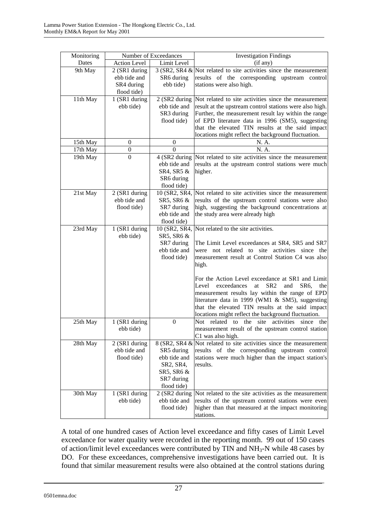| Monitoring |                               | Number of Exceedances | <b>Investigation Findings</b>                                                                                   |  |
|------------|-------------------------------|-----------------------|-----------------------------------------------------------------------------------------------------------------|--|
| Dates      | <b>Action Level</b>           | Limit Level           | (if any)                                                                                                        |  |
| 9th May    | 2 (SR1 during                 |                       | $3$ (SR2, SR4 & Not related to site activities since the measurement                                            |  |
|            | ebb tide and                  | SR6 during            | results of the corresponding upstream control                                                                   |  |
|            | SR4 during                    | ebb tide)             | stations were also high.                                                                                        |  |
|            | flood tide)                   |                       |                                                                                                                 |  |
| 11th May   | 1 (SR1 during<br>ebb tide)    | ebb tide and          | 2 (SR2 during Not related to site activities since the measurement                                              |  |
|            |                               | SR3 during            | result at the upstream control stations were also high.<br>Further, the measurement result lay within the range |  |
|            |                               | flood tide)           | of EPD literature data in 1996 (SM5), suggesting                                                                |  |
|            |                               |                       | that the elevated TIN results at the said impact                                                                |  |
|            |                               |                       | locations might reflect the background fluctuation.                                                             |  |
| 15th May   | $\boldsymbol{0}$              | $\boldsymbol{0}$      | N. A.                                                                                                           |  |
| 17th May   | $\boldsymbol{0}$              | $\theta$              | N. A.                                                                                                           |  |
| 19th May   | $\overline{0}$                |                       | 4 (SR2 during Not related to site activities since the measurement                                              |  |
|            |                               | ebb tide and          | results at the upstream control stations were much                                                              |  |
|            |                               | SR4, SR5 &            | higher.                                                                                                         |  |
|            |                               | SR6 during            |                                                                                                                 |  |
|            |                               | flood tide)           | 10 (SR2, SR4, Not related to site activities since the measurement                                              |  |
| 21st May   | 2 (SR1 during<br>ebb tide and | SR5, SR6 &            | results of the upstream control stations were also                                                              |  |
|            | flood tide)                   | SR7 during            | high, suggesting the background concentrations at                                                               |  |
|            |                               | ebb tide and          | the study area were already high                                                                                |  |
|            |                               | flood tide)           |                                                                                                                 |  |
| 23rd May   | 1 (SR1 during                 |                       | 10 (SR2, SR4, Not related to the site activities.                                                               |  |
|            | ebb tide)                     | SR5, SR6 &            |                                                                                                                 |  |
|            |                               | SR7 during            | The Limit Level exceedances at SR4, SR5 and SR7                                                                 |  |
|            |                               | ebb tide and          | were not related to site activities since the                                                                   |  |
|            |                               | flood tide)           | measurement result at Control Station C4 was also<br>high.                                                      |  |
|            |                               |                       |                                                                                                                 |  |
|            |                               |                       | For the Action Level exceedance at SR1 and Limit                                                                |  |
|            |                               |                       | SR <sub>2</sub><br>Level<br>exceedances<br>at.<br>and<br>SR <sub>6</sub> .<br>the                               |  |
|            |                               |                       | measurement results lay within the range of EPD                                                                 |  |
|            |                               |                       | literature data in 1999 (WM1 & SM5), suggesting                                                                 |  |
|            |                               |                       | that the elevated TIN results at the said impact                                                                |  |
|            |                               |                       | locations might reflect the background fluctuation.<br>Not related to the site                                  |  |
| 25th May   | 1 (SR1 during<br>ebb tide)    | $\mathbf{0}$          | activities since<br>the<br>measurement result of the upstream control station                                   |  |
|            |                               |                       | C1 was also high.                                                                                               |  |
| 28th May   | 2 (SR1 during                 |                       | $8$ (SR2, SR4 & Not related to site activities since the measurement                                            |  |
|            | ebb tide and                  | SR5 during            | results of the corresponding upstream control                                                                   |  |
|            | flood tide)                   | ebb tide and          | stations were much higher than the impact station's                                                             |  |
|            |                               | SR2, SR4,             | results.                                                                                                        |  |
|            |                               | SR5, SR6 &            |                                                                                                                 |  |
|            |                               | SR7 during            |                                                                                                                 |  |
| 30th May   | 1 (SR1 during                 | flood tide)           | 2 (SR2 during Not related to the site activities as the measurement                                             |  |
|            | ebb tide)                     | ebb tide and          | results of the upstream control stations were even                                                              |  |
|            |                               | flood tide)           | higher than that measured at the impact monitoring                                                              |  |
|            |                               |                       | stations.                                                                                                       |  |

A total of one hundred cases of Action level exceedance and fifty cases of Limit Level exceedance for water quality were recorded in the reporting month. 99 out of 150 cases of action/limit level exceedances were contributed by TIN and NH3-N while 48 cases by DO. For these exceedances, comprehensive investigations have been carried out. It is found that similar measurement results were also obtained at the control stations during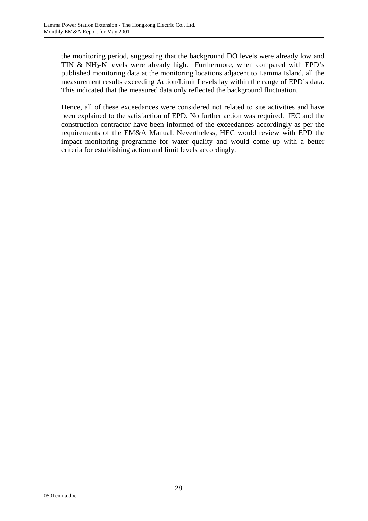the monitoring period, suggesting that the background DO levels were already low and TIN & NH<sub>3</sub>-N levels were already high. Furthermore, when compared with EPD's published monitoring data at the monitoring locations adjacent to Lamma Island, all the measurement results exceeding Action/Limit Levels lay within the range of EPD's data. This indicated that the measured data only reflected the background fluctuation.

Hence, all of these exceedances were considered not related to site activities and have been explained to the satisfaction of EPD. No further action was required. IEC and the construction contractor have been informed of the exceedances accordingly as per the requirements of the EM&A Manual. Nevertheless, HEC would review with EPD the impact monitoring programme for water quality and would come up with a better criteria for establishing action and limit levels accordingly.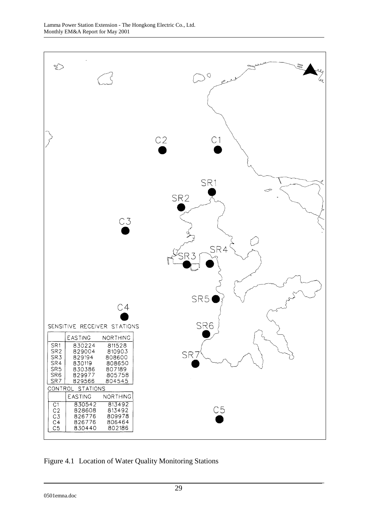

Figure 4.1 Location of Water Quality Monitoring Stations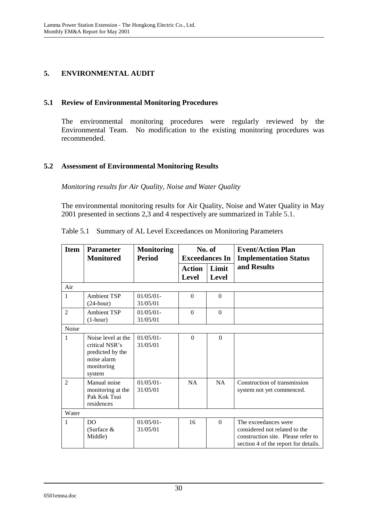## **5. ENVIRONMENTAL AUDIT**

### **5.1 Review of Environmental Monitoring Procedures**

The environmental monitoring procedures were regularly reviewed by the Environmental Team. No modification to the existing monitoring procedures was recommended.

### **5.2 Assessment of Environmental Monitoring Results**

### *Monitoring results for Air Quality, Noise and Water Quality*

The environmental monitoring results for Air Quality, Noise and Water Quality in May 2001 presented in sections 2,3 and 4 respectively are summarized in Table 5.1.

| <b>Item</b>    | <b>Parameter</b><br><b>Monitored</b>                                                            | <b>Monitoring</b><br><b>Period</b> |                               | No. of<br><b>Exceedances In</b> | <b>Event/Action Plan</b><br><b>Implementation Status</b>                                                                            |
|----------------|-------------------------------------------------------------------------------------------------|------------------------------------|-------------------------------|---------------------------------|-------------------------------------------------------------------------------------------------------------------------------------|
|                |                                                                                                 |                                    | <b>Action</b><br><b>Level</b> | Limit<br><b>Level</b>           | and Results                                                                                                                         |
| Air            |                                                                                                 |                                    |                               |                                 |                                                                                                                                     |
| 1              | <b>Ambient TSP</b><br>$(24$ -hour)                                                              | $01/05/01 -$<br>31/05/01           | $\Omega$                      | $\Omega$                        |                                                                                                                                     |
| $\overline{2}$ | <b>Ambient TSP</b><br>$(1-hour)$                                                                | $01/05/01 -$<br>31/05/01           | $\mathbf{0}$                  | $\overline{0}$                  |                                                                                                                                     |
| Noise          |                                                                                                 |                                    |                               |                                 |                                                                                                                                     |
| 1              | Noise level at the<br>critical NSR's<br>predicted by the<br>noise alarm<br>monitoring<br>system | $01/05/01 -$<br>31/05/01           | $\Omega$                      | $\Omega$                        |                                                                                                                                     |
| $\mathfrak{D}$ | Manual noise<br>monitoring at the<br>Pak Kok Tsui<br>residences                                 | $01/05/01$ -<br>31/05/01           | NA                            | NA                              | Construction of transmission<br>system not yet commenced.                                                                           |
| Water          |                                                                                                 |                                    |                               |                                 |                                                                                                                                     |
| 1              | D <sub>O</sub><br>(Surface $&$<br>Middle)                                                       | $01/05/01 -$<br>31/05/01           | 16                            | $\theta$                        | The exceedances were<br>considered not related to the<br>construction site. Please refer to<br>section 4 of the report for details. |

|  |  | Table 5.1 Summary of AL Level Exceedances on Monitoring Parameters |  |
|--|--|--------------------------------------------------------------------|--|
|  |  |                                                                    |  |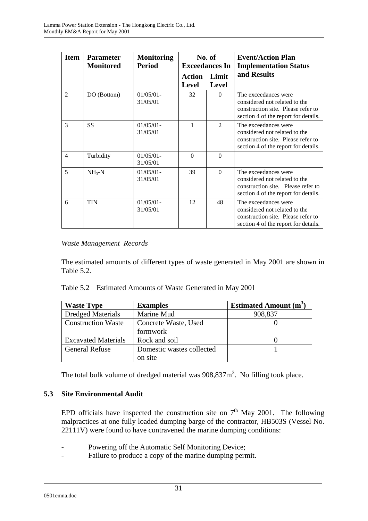| <b>Item</b>    | <b>Parameter</b><br><b>Monitored</b> | <b>Monitoring</b><br><b>Period</b> |                               | No. of<br><b>Exceedances In</b> | <b>Event/Action Plan</b><br><b>Implementation Status</b>                                                                            |
|----------------|--------------------------------------|------------------------------------|-------------------------------|---------------------------------|-------------------------------------------------------------------------------------------------------------------------------------|
|                |                                      |                                    | <b>Action</b><br><b>Level</b> | Limit<br><b>Level</b>           | and Results                                                                                                                         |
| $\mathfrak{D}$ | DO (Bottom)                          | $01/05/01$ -<br>31/05/01           | 32                            | $\Omega$                        | The exceedances were<br>considered not related to the<br>construction site. Please refer to<br>section 4 of the report for details. |
| 3              | <b>SS</b>                            | $01/05/01$ -<br>31/05/01           | 1                             | $\mathcal{D}_{\mathcal{L}}$     | The exceedances were<br>considered not related to the<br>construction site. Please refer to<br>section 4 of the report for details. |
| $\overline{4}$ | Turbidity                            | $01/05/01$ -<br>31/05/01           | $\Omega$                      | $\Omega$                        |                                                                                                                                     |
| 5              | $NH3-N$                              | $01/05/01 -$<br>31/05/01           | 39                            | $\Omega$                        | The exceedances were<br>considered not related to the<br>construction site. Please refer to<br>section 4 of the report for details. |
| 6              | <b>TIN</b>                           | $01/05/01$ -<br>31/05/01           | 12                            | 48                              | The exceedances were<br>considered not related to the<br>construction site. Please refer to<br>section 4 of the report for details. |

### *Waste Management Records*

The estimated amounts of different types of waste generated in May 2001 are shown in Table 5.2.

|  | Table 5.2 Estimated Amounts of Waste Generated in May 2001 |  |  |  |
|--|------------------------------------------------------------|--|--|--|
|--|------------------------------------------------------------|--|--|--|

| <b>Waste Type</b>          | <b>Examples</b>           | <b>Estimated Amount (m<sup>3</sup>)</b> |
|----------------------------|---------------------------|-----------------------------------------|
| <b>Dredged Materials</b>   | Marine Mud                | 908,837                                 |
| <b>Construction Waste</b>  | Concrete Waste, Used      |                                         |
|                            | formwork                  |                                         |
| <b>Excavated Materials</b> | Rock and soil             |                                         |
| <b>General Refuse</b>      | Domestic wastes collected |                                         |
|                            | on site                   |                                         |

The total bulk volume of dredged material was  $908,837m<sup>3</sup>$ . No filling took place.

### **5.3 Site Environmental Audit**

EPD officials have inspected the construction site on  $7<sup>th</sup>$  May 2001. The following malpractices at one fully loaded dumping barge of the contractor, HB503S (Vessel No. 22111V) were found to have contravened the marine dumping conditions:

- Powering off the Automatic Self Monitoring Device;
- Failure to produce a copy of the marine dumping permit.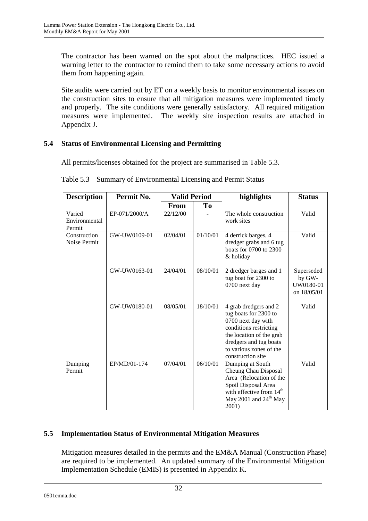The contractor has been warned on the spot about the malpractices. HEC issued a warning letter to the contractor to remind them to take some necessary actions to avoid them from happening again.

Site audits were carried out by ET on a weekly basis to monitor environmental issues on the construction sites to ensure that all mitigation measures were implemented timely and properly. The site conditions were generally satisfactory. All required mitigation measures were implemented. The weekly site inspection results are attached in Appendix J.

### **5.4 Status of Environmental Licensing and Permitting**

All permits/licenses obtained for the project are summarised in Table 5.3.

| <b>Description</b>                | Permit No.    | <b>Valid Period</b> |          | highlights                                                                                                                                                                                           | <b>Status</b>                                    |
|-----------------------------------|---------------|---------------------|----------|------------------------------------------------------------------------------------------------------------------------------------------------------------------------------------------------------|--------------------------------------------------|
|                                   |               | <b>From</b>         | To       |                                                                                                                                                                                                      |                                                  |
| Varied<br>Environmental<br>Permit | EP-071/2000/A | 22/12/00            |          | The whole construction<br>work sites                                                                                                                                                                 | Valid                                            |
| Construction<br>Noise Permit      | GW-UW0109-01  | 02/04/01            | 01/10/01 | 4 derrick barges, 4<br>dredger grabs and 6 tug<br>boats for 0700 to 2300<br>& holiday                                                                                                                | Valid                                            |
|                                   | GW-UW0163-01  | 24/04/01            | 08/10/01 | 2 dredger barges and 1<br>tug boat for 2300 to<br>0700 next day                                                                                                                                      | Superseded<br>by GW-<br>UW0180-01<br>on 18/05/01 |
|                                   | GW-UW0180-01  | 08/05/01            | 18/10/01 | 4 grab dredgers and 2<br>tug boats for 2300 to<br>0700 next day with<br>conditions restricting<br>the location of the grab<br>dredgers and tug boats<br>to various zones of the<br>construction site | Valid                                            |
| Dumping<br>Permit                 | EP/MD/01-174  | 07/04/01            | 06/10/01 | Dumping at South<br>Cheung Chau Disposal<br>Area (Relocation of the<br>Spoil Disposal Area<br>with effective from $14th$<br>May 2001 and $24th$ May<br>2001)                                         | Valid                                            |

Table 5.3 Summary of Environmental Licensing and Permit Status

## **5.5 Implementation Status of Environmental Mitigation Measures**

Mitigation measures detailed in the permits and the EM&A Manual (Construction Phase) are required to be implemented. An updated summary of the Environmental Mitigation Implementation Schedule (EMIS) is presented in Appendix K.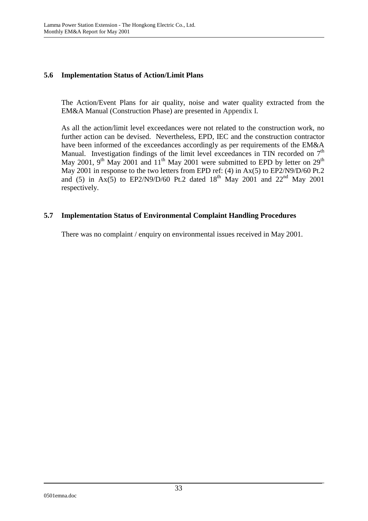#### **5.6 Implementation Status of Action/Limit Plans**

The Action/Event Plans for air quality, noise and water quality extracted from the EM&A Manual (Construction Phase) are presented in Appendix I.

As all the action/limit level exceedances were not related to the construction work, no further action can be devised. Nevertheless, EPD, IEC and the construction contractor have been informed of the exceedances accordingly as per requirements of the EM&A Manual. Investigation findings of the limit level exceedances in TIN recorded on  $7<sup>th</sup>$ May 2001,  $9<sup>th</sup>$  May 2001 and  $11<sup>th</sup>$  May 2001 were submitted to EPD by letter on 29<sup>th</sup> May 2001 in response to the two letters from EPD ref: (4) in Ax(5) to EP2/N9/D/60 Pt.2 and (5) in Ax(5) to EP2/N9/D/60 Pt.2 dated  $18^{th}$  May 2001 and 22<sup>nd</sup> May 2001 respectively.

### **5.7 Implementation Status of Environmental Complaint Handling Procedures**

There was no complaint / enquiry on environmental issues received in May 2001.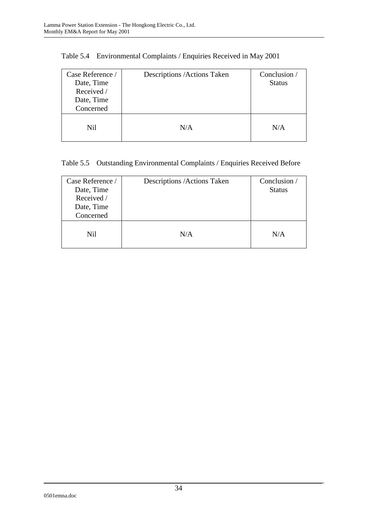| Case Reference /<br>Date, Time<br>Received /<br>Date, Time<br>Concerned | Descriptions / Actions Taken | Conclusion /<br><b>Status</b> |
|-------------------------------------------------------------------------|------------------------------|-------------------------------|
| <b>Nil</b>                                                              | N/A                          | N/A                           |

# Table 5.5 Outstanding Environmental Complaints / Enquiries Received Before

| Case Reference /<br>Date, Time<br>Received /<br>Date, Time<br>Concerned | Descriptions / Actions Taken | Conclusion /<br><b>Status</b> |
|-------------------------------------------------------------------------|------------------------------|-------------------------------|
| Nil                                                                     | N/A                          | N/A                           |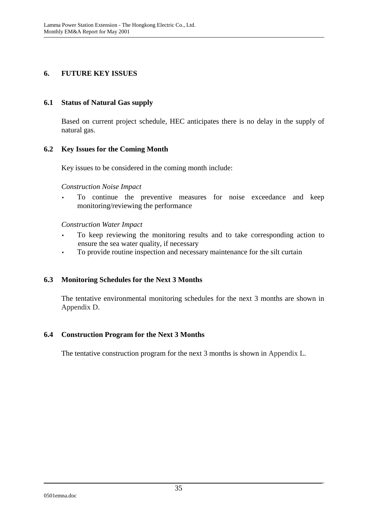### **6. FUTURE KEY ISSUES**

### **6.1 Status of Natural Gas supply**

Based on current project schedule, HEC anticipates there is no delay in the supply of natural gas.

### **6.2 Key Issues for the Coming Month**

Key issues to be considered in the coming month include:

### *Construction Noise Impact*

• To continue the preventive measures for noise exceedance and keep monitoring/reviewing the performance

### *Construction Water Impact*

- To keep reviewing the monitoring results and to take corresponding action to ensure the sea water quality, if necessary
- To provide routine inspection and necessary maintenance for the silt curtain

## **6.3 Monitoring Schedules for the Next 3 Months**

The tentative environmental monitoring schedules for the next 3 months are shown in Appendix D.

### **6.4 Construction Program for the Next 3 Months**

The tentative construction program for the next 3 months is shown in Appendix L.